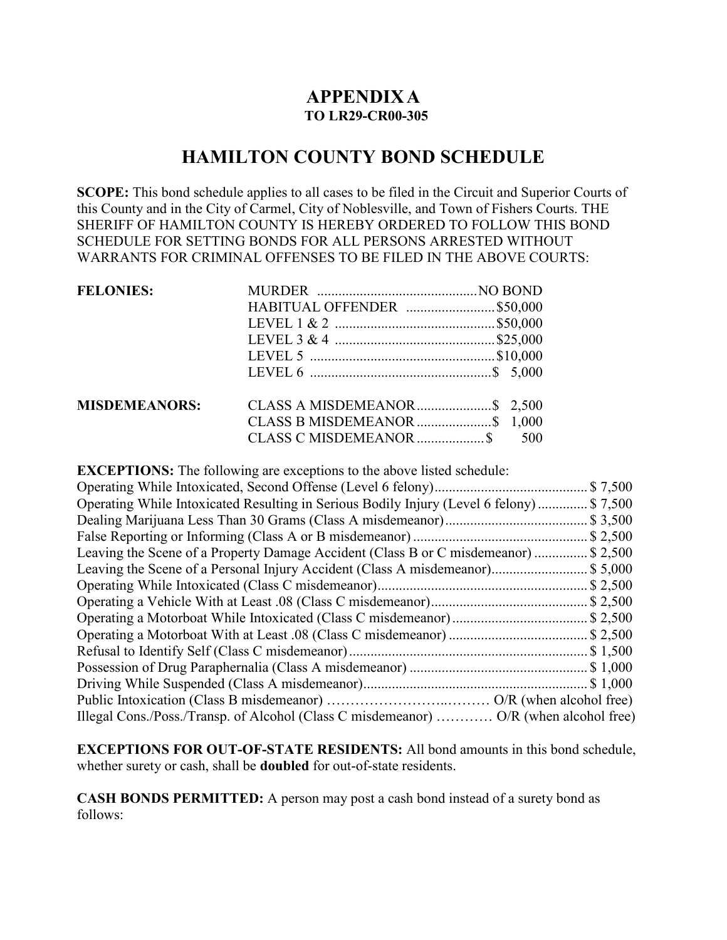### **APPENDIXA TO LR29-CR00-305**

# **HAMILTON COUNTY BOND SCHEDULE**

**SCOPE:** This bond schedule applies to all cases to be filed in the Circuit and Superior Courts of this County and in the City of Carmel, City of Noblesville, and Town of Fishers Courts. THE SHERIFF OF HAMILTON COUNTY IS HEREBY ORDERED TO FOLLOW THIS BOND SCHEDULE FOR SETTING BONDS FOR ALL PERSONS ARRESTED WITHOUT WARRANTS FOR CRIMINAL OFFENSES TO BE FILED IN THE ABOVE COURTS:

| <b>FELONIES:</b>     |                              |  |
|----------------------|------------------------------|--|
|                      | HABITUAL OFFENDER  \$50,000  |  |
|                      |                              |  |
|                      |                              |  |
|                      |                              |  |
|                      |                              |  |
| <b>MISDEMEANORS:</b> |                              |  |
|                      | CLASS B MISDEMEANOR \$ 1,000 |  |
|                      | CLASS C MISDEMEANOR  \$ 500  |  |

**EXCEPTIONS:** The following are exceptions to the above listed schedule:

| \$7,500                                                                                 |  |
|-----------------------------------------------------------------------------------------|--|
| Operating While Intoxicated Resulting in Serious Bodily Injury (Level 6 felony) \$7,500 |  |
|                                                                                         |  |
| \$2,500                                                                                 |  |
| Leaving the Scene of a Property Damage Accident (Class B or C misdemeanor)  \$ 2,500    |  |
| Leaving the Scene of a Personal Injury Accident (Class A misdemeanor)<br>\$5,000        |  |
| \$2,500                                                                                 |  |
| $\sqrt{52,500}$                                                                         |  |
|                                                                                         |  |
|                                                                                         |  |
|                                                                                         |  |
|                                                                                         |  |
|                                                                                         |  |
|                                                                                         |  |
| Illegal Cons./Poss./Transp. of Alcohol (Class C misdemeanor)  O/R (when alcohol free)   |  |

**EXCEPTIONS FOR OUT-OF-STATE RESIDENTS:** All bond amounts in this bond schedule, whether surety or cash, shall be **doubled** for out-of-state residents.

**CASH BONDS PERMITTED:** A person may post a cash bond instead of a surety bond as follows: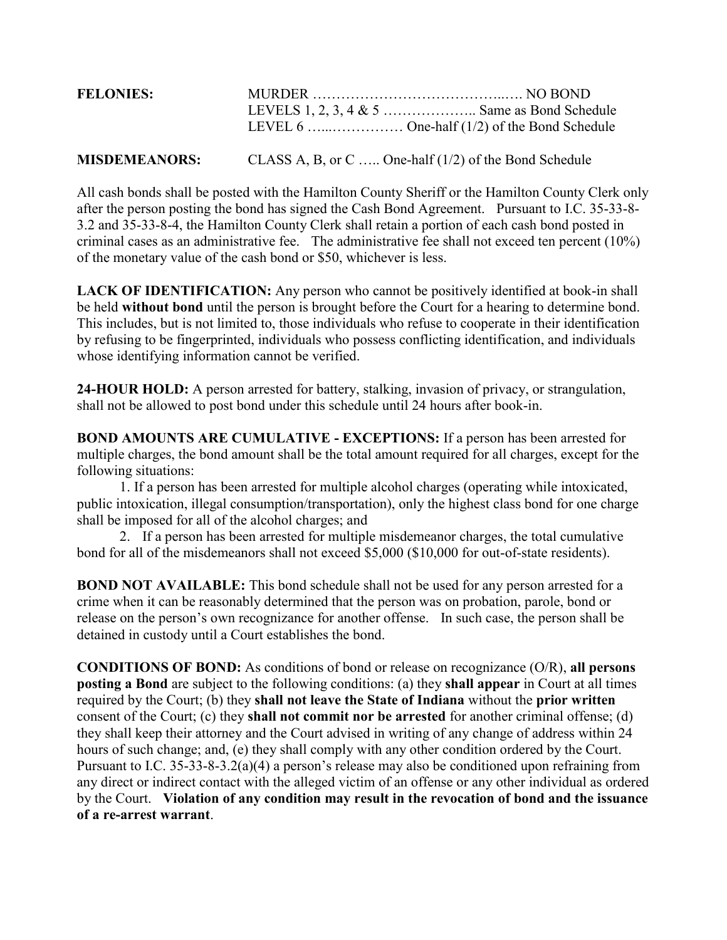| <b>FELONIES:</b> |                                              |
|------------------|----------------------------------------------|
|                  | LEVELS 1, 2, 3, 4 & 5  Same as Bond Schedule |
|                  |                                              |
|                  |                                              |

#### **MISDEMEANORS:** CLASS A, B, or C ….. One-half (1/2) of the Bond Schedule

All cash bonds shall be posted with the Hamilton County Sheriff or the Hamilton County Clerk only after the person posting the bond has signed the Cash Bond Agreement. Pursuant to I.C. 35-33-8- 3.2 and 35-33-8-4, the Hamilton County Clerk shall retain a portion of each cash bond posted in criminal cases as an administrative fee. The administrative fee shall not exceed ten percent (10%) of the monetary value of the cash bond or \$50, whichever is less.

**LACK OF IDENTIFICATION:** Any person who cannot be positively identified at book-in shall be held **without bond** until the person is brought before the Court for a hearing to determine bond. This includes, but is not limited to, those individuals who refuse to cooperate in their identification by refusing to be fingerprinted, individuals who possess conflicting identification, and individuals whose identifying information cannot be verified.

**24-HOUR HOLD:** A person arrested for battery, stalking, invasion of privacy, or strangulation, shall not be allowed to post bond under this schedule until 24 hours after book-in.

**BOND AMOUNTS ARE CUMULATIVE - EXCEPTIONS:** If a person has been arrested for multiple charges, the bond amount shall be the total amount required for all charges, except for the following situations:

1. If a person has been arrested for multiple alcohol charges (operating while intoxicated, public intoxication, illegal consumption/transportation), only the highest class bond for one charge shall be imposed for all of the alcohol charges; and

2. If a person has been arrested for multiple misdemeanor charges, the total cumulative bond for all of the misdemeanors shall not exceed \$5,000 (\$10,000 for out-of-state residents).

**BOND NOT AVAILABLE:** This bond schedule shall not be used for any person arrested for a crime when it can be reasonably determined that the person was on probation, parole, bond or release on the person's own recognizance for another offense. In such case, the person shall be detained in custody until a Court establishes the bond.

**CONDITIONS OF BOND:** As conditions of bond or release on recognizance (O/R), **all persons posting a Bond** are subject to the following conditions: (a) they **shall appear** in Court at all times required by the Court; (b) they **shall not leave the State of Indiana** without the **prior written** consent of the Court; (c) they **shall not commit nor be arrested** for another criminal offense; (d) they shall keep their attorney and the Court advised in writing of any change of address within 24 hours of such change; and, (e) they shall comply with any other condition ordered by the Court. Pursuant to I.C. 35-33-8-3.2(a)(4) a person's release may also be conditioned upon refraining from any direct or indirect contact with the alleged victim of an offense or any other individual as ordered by the Court. **Violation of any condition may result in the revocation of bond and the issuance of a re-arrest warrant**.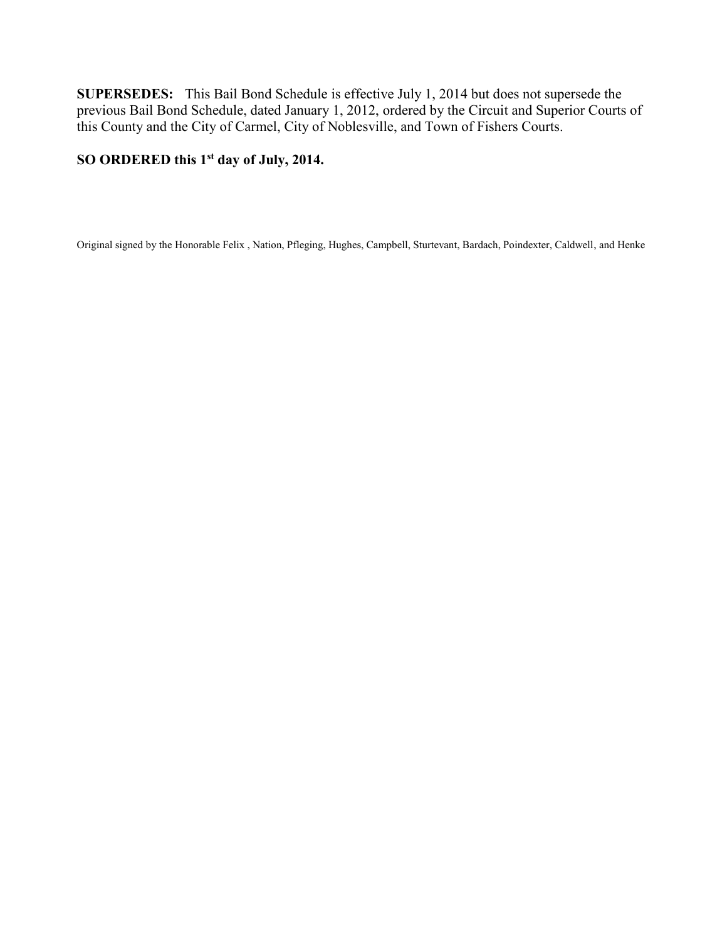**SUPERSEDES:** This Bail Bond Schedule is effective July 1, 2014 but does not supersede the previous Bail Bond Schedule, dated January 1, 2012, ordered by the Circuit and Superior Courts of this County and the City of Carmel, City of Noblesville, and Town of Fishers Courts.

## **SO ORDERED this 1st day of July, 2014.**

Original signed by the Honorable Felix , Nation, Pfleging, Hughes, Campbell, Sturtevant, Bardach, Poindexter, Caldwell, and Henke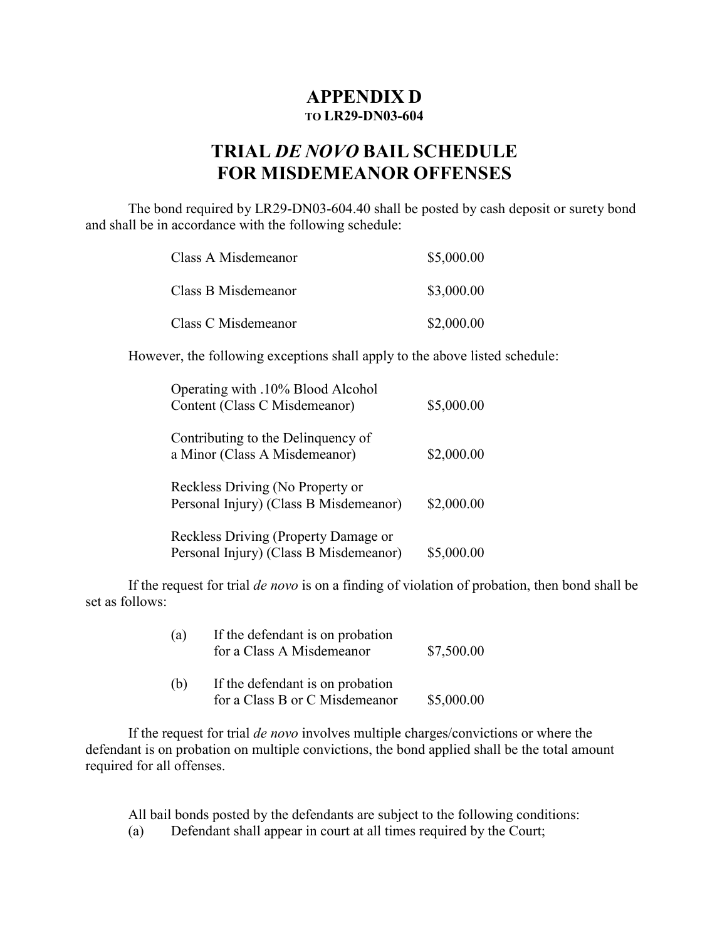### **APPENDIX D TO LR29-DN03-604**

# **TRIAL** *DE NOVO* **BAIL SCHEDULE FOR MISDEMEANOR OFFENSES**

The bond required by LR29-DN03-604.40 shall be posted by cash deposit or surety bond and shall be in accordance with the following schedule:

| Class A Misdemeanor | \$5,000.00 |
|---------------------|------------|
| Class B Misdemeanor | \$3,000.00 |
| Class C Misdemeanor | \$2,000.00 |

However, the following exceptions shall apply to the above listed schedule:

| Operating with .10% Blood Alcohol<br>Content (Class C Misdemeanor)             | \$5,000.00 |
|--------------------------------------------------------------------------------|------------|
| Contributing to the Delinquency of<br>a Minor (Class A Misdemeanor)            | \$2,000.00 |
| Reckless Driving (No Property or<br>Personal Injury) (Class B Misdemeanor)     | \$2,000.00 |
| Reckless Driving (Property Damage or<br>Personal Injury) (Class B Misdemeanor) | \$5,000.00 |

If the request for trial *de novo* is on a finding of violation of probation, then bond shall be set as follows:

| (a) | If the defendant is on probation<br>for a Class A Misdemeanor      | \$7,500.00 |
|-----|--------------------------------------------------------------------|------------|
| (b) | If the defendant is on probation<br>for a Class B or C Misdemeanor | \$5,000.00 |

If the request for trial *de novo* involves multiple charges/convictions or where the defendant is on probation on multiple convictions, the bond applied shall be the total amount required for all offenses.

All bail bonds posted by the defendants are subject to the following conditions:

(a) Defendant shall appear in court at all times required by the Court;